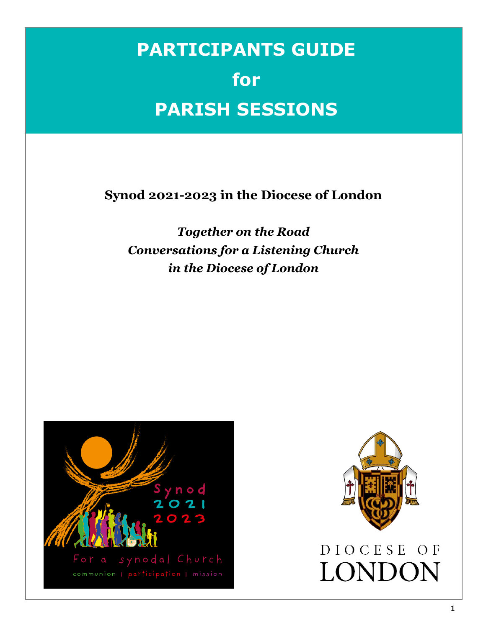# **PARTICIPANTS GUIDE for PARISH SESSIONS**

**Synod 2021-2023 in the Diocese of London**

*Together on the Road Conversations for a Listening Church in the Diocese of London*



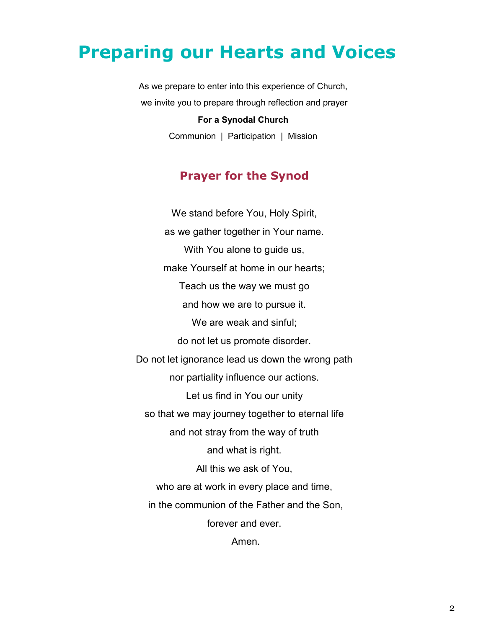## **Preparing our Hearts and Voices**

As we prepare to enter into this experience of Church, we invite you to prepare through reflection and prayer

#### **For a Synodal Church**

Communion | Participation | Mission

### **Prayer for the Synod**

We stand before You, Holy Spirit, as we gather together in Your name. With You alone to guide us, make Yourself at home in our hearts; Teach us the way we must go and how we are to pursue it. We are weak and sinful; do not let us promote disorder. Do not let ignorance lead us down the wrong path nor partiality influence our actions. Let us find in You our unity so that we may journey together to eternal life and not stray from the way of truth and what is right. All this we ask of You, who are at work in every place and time, in the communion of the Father and the Son, forever and ever.

Amen.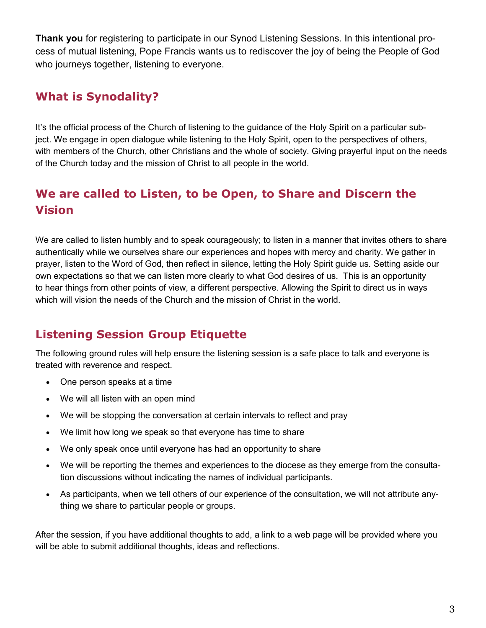**Thank you** for registering to participate in our Synod Listening Sessions. In this intentional process of mutual listening, Pope Francis wants us to rediscover the joy of being the People of God who journeys together, listening to everyone.

## **What is Synodality?**

It's the official process of the Church of listening to the guidance of the Holy Spirit on a particular subject. We engage in open dialogue while listening to the Holy Spirit, open to the perspectives of others, with members of the Church, other Christians and the whole of society. Giving prayerful input on the needs of the Church today and the mission of Christ to all people in the world.

## **We are called to Listen, to be Open, to Share and Discern the Vision**

We are called to listen humbly and to speak courageously; to listen in a manner that invites others to share authentically while we ourselves share our experiences and hopes with mercy and charity. We gather in prayer, listen to the Word of God, then reflect in silence, letting the Holy Spirit guide us. Setting aside our own expectations so that we can listen more clearly to what God desires of us. This is an opportunity to hear things from other points of view, a different perspective. Allowing the Spirit to direct us in ways which will vision the needs of the Church and the mission of Christ in the world.

## **Listening Session Group Etiquette**

The following ground rules will help ensure the listening session is a safe place to talk and everyone is treated with reverence and respect.

- One person speaks at a time
- We will all listen with an open mind
- We will be stopping the conversation at certain intervals to reflect and pray
- We limit how long we speak so that everyone has time to share
- We only speak once until everyone has had an opportunity to share
- We will be reporting the themes and experiences to the diocese as they emerge from the consultation discussions without indicating the names of individual participants.
- As participants, when we tell others of our experience of the consultation, we will not attribute anything we share to particular people or groups.

After the session, if you have additional thoughts to add, a link to a web page will be provided where you will be able to submit additional thoughts, ideas and reflections.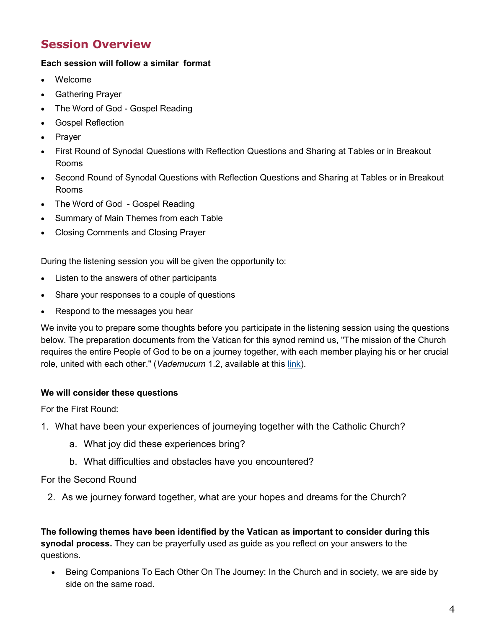## **Session Overview**

### **Each session will follow a similar format**

- Welcome
- Gathering Prayer
- The Word of God Gospel Reading
- Gospel Reflection
- Prayer
- First Round of Synodal Questions with Reflection Questions and Sharing at Tables or in Breakout Rooms
- Second Round of Synodal Questions with Reflection Questions and Sharing at Tables or in Breakout Rooms
- The Word of God Gospel Reading
- Summary of Main Themes from each Table
- Closing Comments and Closing Prayer

During the listening session you will be given the opportunity to:

- Listen to the answers of other participants
- Share your responses to a couple of questions
- Respond to the messages you hear

We invite you to prepare some thoughts before you participate in the listening session using the questions below. The preparation documents from the Vatican for this synod remind us, "The mission of the Church requires the entire People of God to be on a journey together, with each member playing his or her crucial role, united with each other." (*Vademucum* 1.2, available at this [link\).](https://dol.ca/synod-2021-2023)

#### **We will consider these questions**

For the First Round:

- 1. What have been your experiences of journeying together with the Catholic Church?
	- a. What joy did these experiences bring?
	- b. What difficulties and obstacles have you encountered?

#### For the Second Round

2. As we journey forward together, what are your hopes and dreams for the Church?

**The following themes have been identified by the Vatican as important to consider during this synodal process.** They can be prayerfully used as guide as you reflect on your answers to the questions.

• Being Companions To Each Other On The Journey: In the Church and in society, we are side by side on the same road.